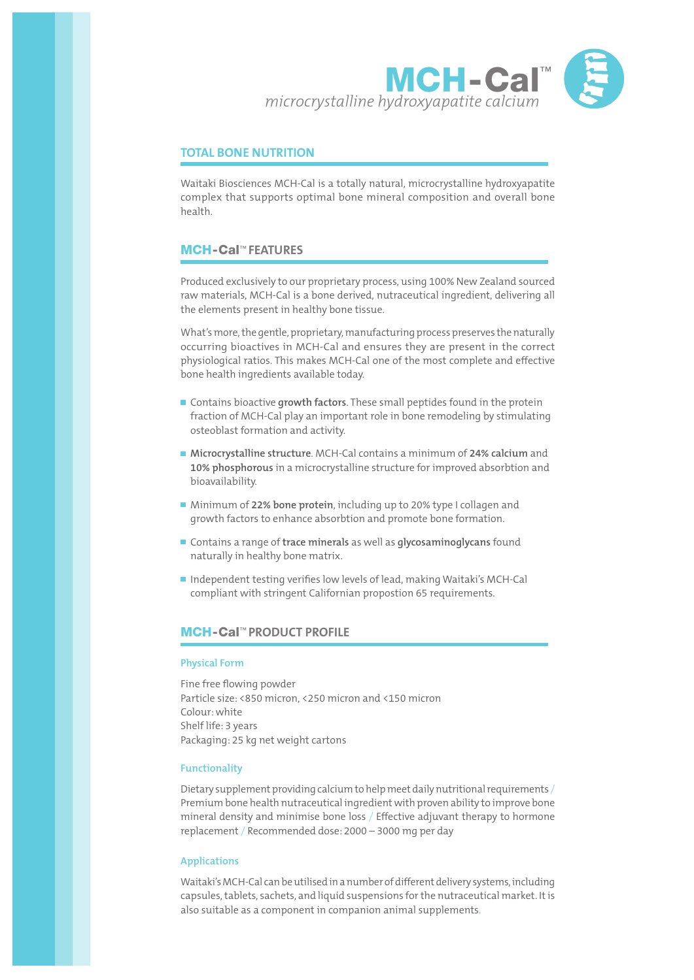

# **TOTAL BONE NUTRITION**

Waitaki Biosciences MCH-Cal is a totally natural, microcrystalline hydroxyapatite complex that supports optimal bone mineral composition and overall bone health.

# MCH-Cal™ **FEATURES**

Produced exclusively to our proprietary process, using 100% New Zealand sourced raw materials, MCH-Cal is a bone derived, nutraceutical ingredient, delivering all the elements present in healthy bone tissue.

What's more, the gentle, proprietary, manufacturing process preserves the naturally occurring bioactives in MCH-Cal and ensures they are present in the correct physiological ratios. This makes MCH-Cal one of the most complete and effective bone health ingredients available today.

- Contains bioactive **growth factors**. These small peptides found in the protein fraction of MCH-Cal play an important role in bone remodeling by stimulating osteoblast formation and activity.
- **Microcrystalline structure**. MCH-Cal contains a minimum of **24% calcium** and **10% phosphorous** in a microcrystalline structure for improved absorbtion and bioavailability.
- Minimum of 22% bone protein, including up to 20% type I collagen and growth factors to enhance absorbtion and promote bone formation.
- Contains a range of **trace minerals** as well as **glycosaminoglycans** found naturally in healthy bone matrix.
- Independent testing verifies low levels of lead, making Waitaki's MCH-Cal compliant with stringent Californian propostion 65 requirements.

# MCH-Cal™ **PRODUCT PROFILE**

#### **Physical Form**

Fine free flowing powder Particle size: <850 micron, <250 micron and <150 micron Colour: white Shelf life: 3 years Packaging: 25 kg net weight cartons

### **Functionality**

Dietary supplement providing calcium to help meet daily nutritional requirements / Premium bone health nutraceutical ingredient with proven ability to improve bone mineral density and minimise bone loss / Effective adjuvant therapy to hormone replacement / Recommended dose: 2000 – 3000 mg per day

### **Applications**

Waitaki's MCH-Cal can be utilised in a number of different delivery systems, including capsules, tablets, sachets, and liquid suspensions for the nutraceutical market. It is also suitable as a component in companion animal supplements.